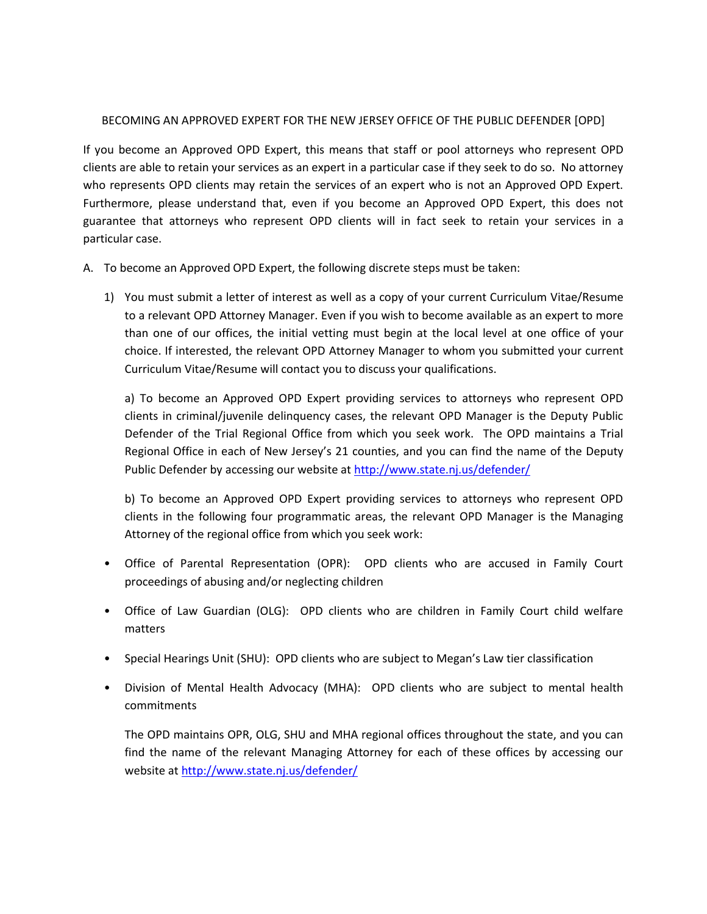## BECOMING AN APPROVED EXPERT FOR THE NEW JERSEY OFFICE OF THE PUBLIC DEFENDER [OPD]

If you become an Approved OPD Expert, this means that staff or pool attorneys who represent OPD clients are able to retain your services as an expert in a particular case if they seek to do so. No attorney who represents OPD clients may retain the services of an expert who is not an Approved OPD Expert. Furthermore, please understand that, even if you become an Approved OPD Expert, this does not guarantee that attorneys who represent OPD clients will in fact seek to retain your services in a particular case.

A. To become an Approved OPD Expert, the following discrete steps must be taken:

1) You must submit a letter of interest as well as a copy of your current Curriculum Vitae/Resume to a relevant OPD Attorney Manager. Even if you wish to become available as an expert to more than one of our offices, the initial vetting must begin at the local level at one office of your choice. If interested, the relevant OPD Attorney Manager to whom you submitted your current Curriculum Vitae/Resume will contact you to discuss your qualifications.

a) To become an Approved OPD Expert providing services to attorneys who represent OPD clients in criminal/juvenile delinquency cases, the relevant OPD Manager is the Deputy Public Defender of the Trial Regional Office from which you seek work. The OPD maintains a Trial Regional Office in each of New Jersey's 21 counties, and you can find the name of the Deputy Public Defender by accessing our website a[t http://www.state.nj.us/defender/](http://www.state.nj.us/defender/)

b) To become an Approved OPD Expert providing services to attorneys who represent OPD clients in the following four programmatic areas, the relevant OPD Manager is the Managing Attorney of the regional office from which you seek work:

- Office of Parental Representation (OPR): OPD clients who are accused in Family Court proceedings of abusing and/or neglecting children
- Office of Law Guardian (OLG): OPD clients who are children in Family Court child welfare matters
- Special Hearings Unit (SHU): OPD clients who are subject to Megan's Law tier classification
- Division of Mental Health Advocacy (MHA): OPD clients who are subject to mental health commitments

The OPD maintains OPR, OLG, SHU and MHA regional offices throughout the state, and you can find the name of the relevant Managing Attorney for each of these offices by accessing our website at<http://www.state.nj.us/defender/>